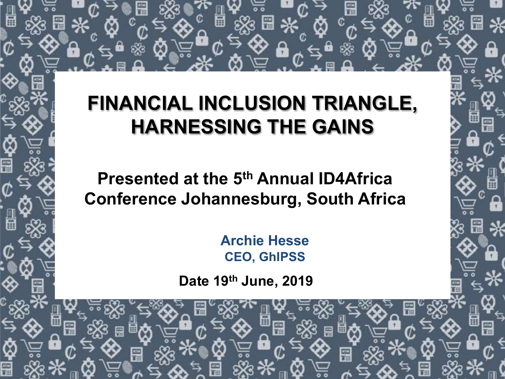# **FINANCIAL INCLUSION TRIANGLE, HARNESSING THE GAINS**

**Presented at the 5th Annual ID4Africa Conference Johannesburg, South Africa**

> **Archie Hesse CEO, GhIPSS**

> > 1

**Date 19th June, 2019**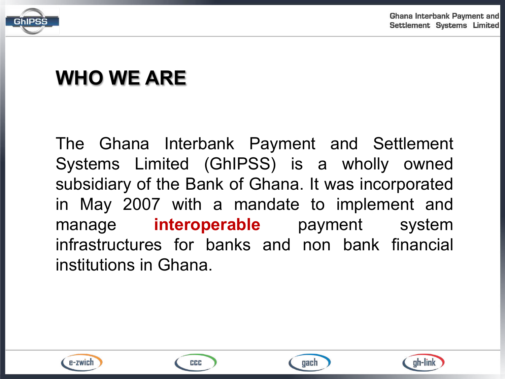

# **WHO WE ARE**

The Ghana Interbank Payment and Settlement Systems Limited (GhIPSS) is a wholly owned subsidiary of the Bank of Ghana. It was incorporated in May 2007 with a mandate to implement and manage **interoperable** payment system infrastructures for banks and non bank financial institutions in Ghana.



CCC



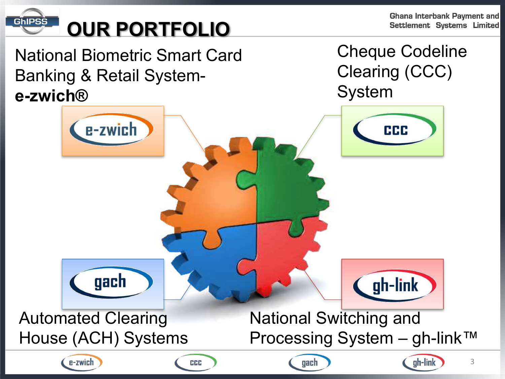GhIPSS

# **OUR PORTFOLIO**

**Ghana Interbank Payment and** Settlement Systems Limited

3

National Biometric Smart Card Banking & Retail System**e-zwich®**

Cheque Codeline Clearing (CCC) System

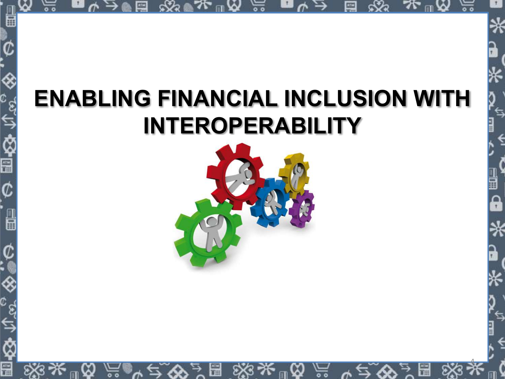# **ENABLING FINANCIAL INCLUSION WITH INTEROPERABILITY**

h

圖

Ē

![](_page_3_Picture_1.jpeg)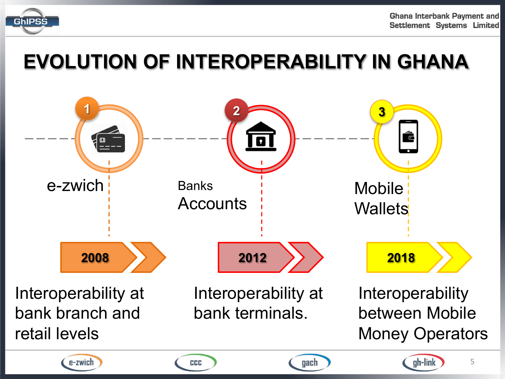![](_page_4_Picture_0.jpeg)

# **EVOLUTION OF INTEROPERABILITY IN GHANA**

![](_page_4_Figure_3.jpeg)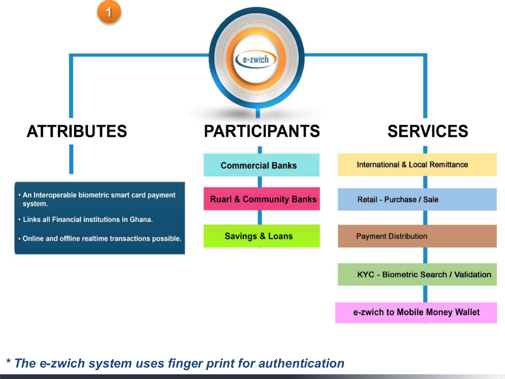![](_page_5_Figure_0.jpeg)

<sup>6</sup> *\* The e-zwich system uses finger print for authentication*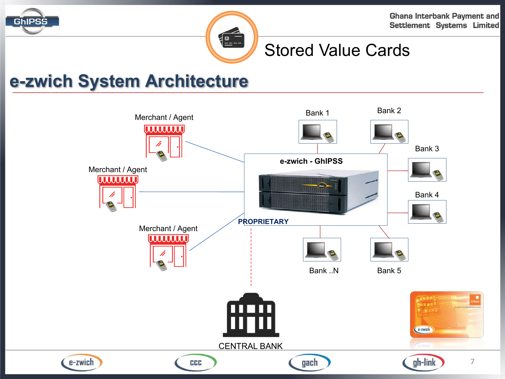![](_page_6_Picture_0.jpeg)

![](_page_6_Picture_1.jpeg)

## Stored Value Cards

## **e-zwich System Architecture**

![](_page_6_Figure_5.jpeg)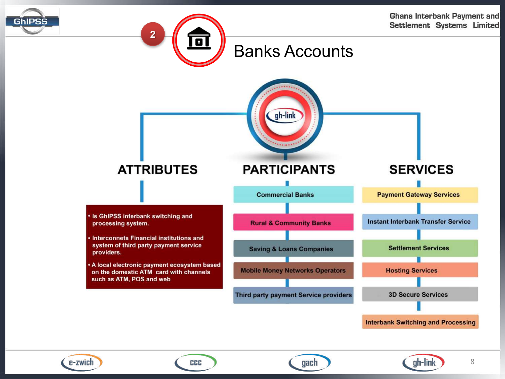![](_page_7_Picture_0.jpeg)

![](_page_7_Picture_1.jpeg)

![](_page_7_Figure_2.jpeg)

**Interbank Switching and Processing** 

![](_page_7_Picture_4.jpeg)

CCC

gach

![](_page_7_Picture_7.jpeg)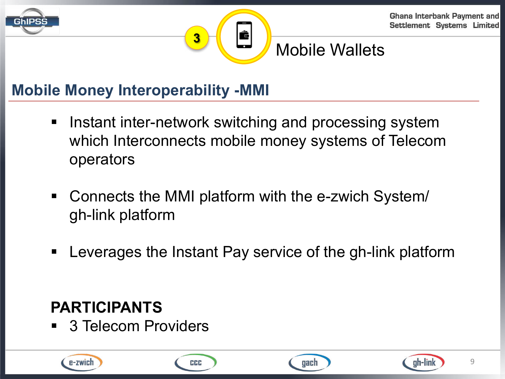![](_page_8_Picture_0.jpeg)

![](_page_8_Picture_1.jpeg)

## Mobile Wallets

## **Mobile Money Interoperability -MMI**

**3**

■ Instant inter-network switching and processing system which Interconnects mobile money systems of Telecom operators

Ć

- Connects the MMI platform with the e-zwich System/ gh-link platform
- Leverages the Instant Pay service of the gh-link platform

## **PARTICIPANTS**

■ 3 Telecom Providers

![](_page_8_Picture_9.jpeg)

![](_page_8_Picture_11.jpeg)

![](_page_8_Picture_12.jpeg)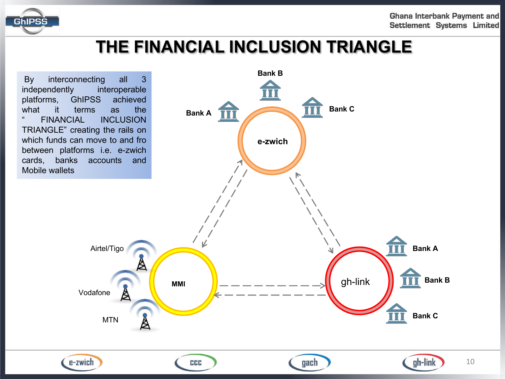![](_page_9_Picture_0.jpeg)

## **THE FINANCIAL INCLUSION TRIANGLE**

![](_page_9_Figure_3.jpeg)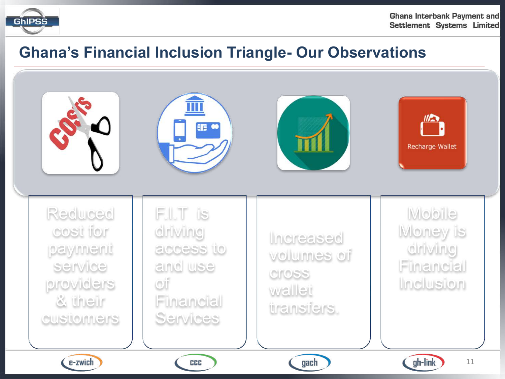![](_page_10_Picture_0.jpeg)

### **Ghana's Financial Inclusion Triangle- Our Observations**

![](_page_10_Picture_3.jpeg)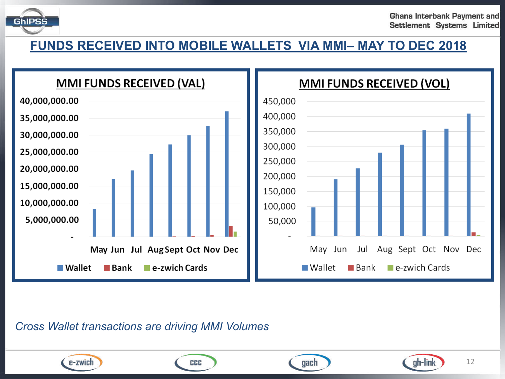![](_page_11_Picture_0.jpeg)

12

ah-link

#### **FUNDS RECEIVED INTO MOBILE WALLETS VIA MMI– MAY TO DEC 2018**

![](_page_11_Figure_3.jpeg)

gach

*Cross Wallet transactions are driving MMI Volumes*

![](_page_11_Picture_5.jpeg)

CCC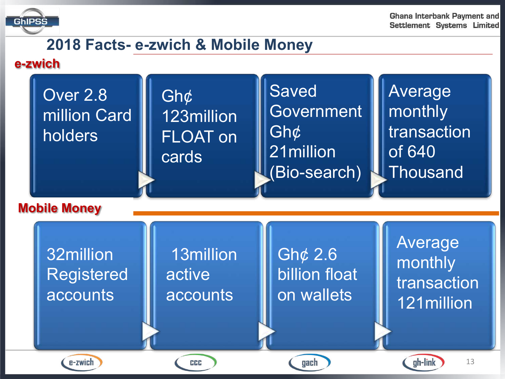![](_page_12_Picture_0.jpeg)

### **2018 Facts- e-zwich & Mobile Money**

#### **e-zwich**

![](_page_12_Figure_4.jpeg)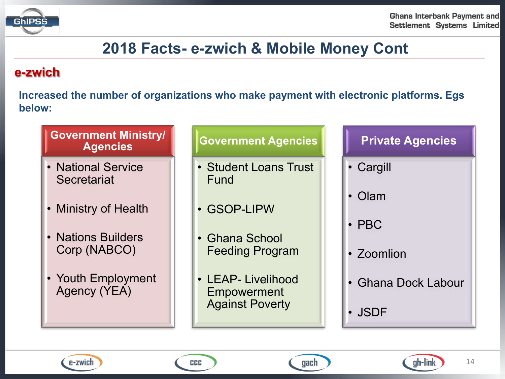![](_page_13_Picture_0.jpeg)

### **2018 Facts- e-zwich & Mobile Money Cont**

#### **e-zwich**

**Increased the number of organizations who make payment with electronic platforms. Egs below:** 

#### **Government Ministry/ Agencies**

- National Service **Secretariat**
- Ministry of Health
- Nations Builders Corp (NABCO)
- Youth Employment Agency (YEA)

#### **Government Agencies**

- Student Loans Trust Fund
- GSOP-LIPW
- Ghana School Feeding Program
- LEAP- Livelihood Empowerment Against Poverty

#### **Private Agencies**

- Cargill
- Olam
- PBC
- Zoomlion
- Ghana Dock Labour
- JSDF

![](_page_13_Picture_22.jpeg)

CCC

![](_page_13_Picture_24.jpeg)

![](_page_13_Picture_25.jpeg)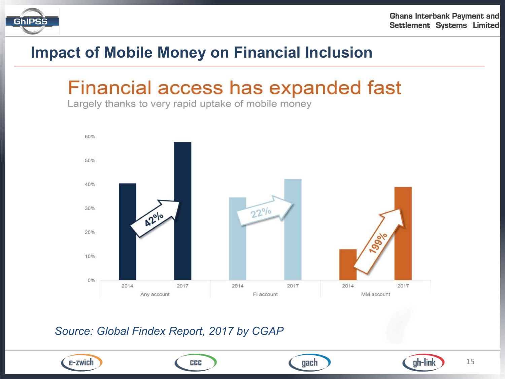![](_page_14_Picture_0.jpeg)

### **Impact of Mobile Money on Financial Inclusion**

## Financial access has expanded fast

Largely thanks to very rapid uptake of mobile money

![](_page_14_Figure_5.jpeg)

#### *Source: Global Findex Report, 2017 by CGAP*

![](_page_14_Picture_7.jpeg)

CCC

![](_page_14_Picture_9.jpeg)

![](_page_14_Picture_10.jpeg)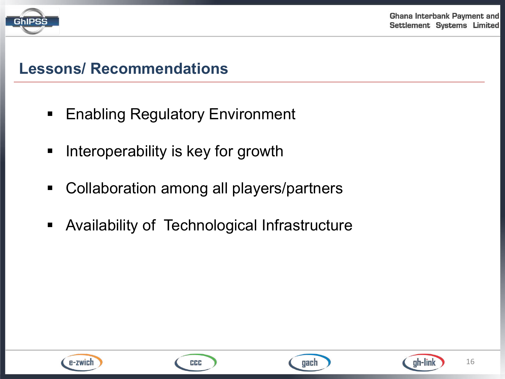![](_page_15_Picture_0.jpeg)

### **Lessons/ Recommendations**

- Enabling Regulatory Environment
- Interoperability is key for growth
- Collaboration among all players/partners
- **Availability of Technological Infrastructure**

![](_page_15_Picture_7.jpeg)

![](_page_15_Picture_9.jpeg)

![](_page_15_Picture_10.jpeg)